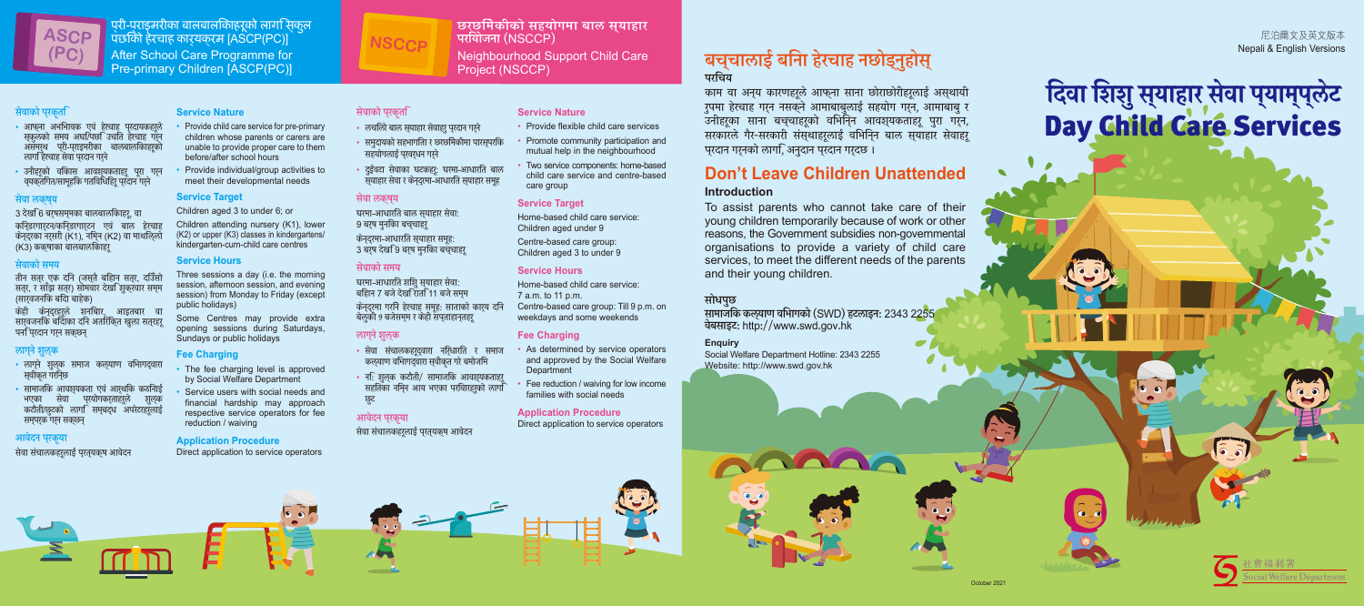प्री-प्राइमरीका बालबालिकाहरूको लागि स्कुल पछिको हेरचाह कार्यक्रम [ASCP(PC)] After School Care Programme for Pre-primary Children [ASCP(PC)]

#### सेवाको प्रकृति

- आफना अभभावक एवं हेरचाह परदायकहरले स्कुलका समय अघा/पछा उचात हरचाह गर्न असमुख पूर्ग-प्राइमरीका बालबालीकाहरूको लांगा हरचाह सवा प्**रदान गर्**न
- उनाहरूको वाकास् आवशूयकूताहरू पूरा गर्न व्यक्तागत/सामूहाक गतावाधाहरू प्रदान गर्न

#### सेवा लक्ष्य

3 देखो 6 बर्**षसम्**मका बालबालोकाहरू, वा कोन्डरगार्टन/कोन्डरगार्टन् एव बाल हेर्चाह कन्द्रका नर्सरा (K1), नामुन (K2) वा माथाल्ला (K3) ककषाका बालबालकिाहर

#### सेवाको समय

तान सत्र एक दान (जस्त बाहान सत्र, दोउसा सत्र, र साझ सुत्र) सामवार दखा शुक्रवार सम्म (सार्**वजनोक बोदा बाहेक**)

केही केनदरहरले शनबािर. आडतबार वा सार्**वजनाक बादाका दान अताराक्**त खुला सत्**र**हरू पना प्**रदान गर्**न सक्छन्

#### लाग्नेशुल्क

- लागुने शुलूक समाज कल्2ाण वोभागद्वारा स्वाकृत गरान्छ
- सामाजीक आवश्यकता एव आर्थ्यांक कठानाई भएका सर्वा पुरयागकरताहरू शुल्क कटोतो/छुटको लागो सम्बद्ध अपरेटरहरूलाई सम्पर्क गर्न सक्छन्

#### आवेदन प्रकृया

सेवा संचालकहरूलाई प्**रत्**यक्**ष आवंद**न

#### **Service Nature**

- Provide child care service for pre-primary children whose parents or carers are unable to provide proper care to them before/after school hours
- Provide individual/group activities to meet their developmental needs

#### **Service Target**

Children aged 3 to under 6; or

Children attending nursery (K1), lower (K2) or upper (K3) classes in kindergartens/ kindergarten-cum-child care centres

- Provide flexible child care services
- Promote community participation and mutual help in the neighbourhood
- Two service components: home-based child care service and centre-based care group

#### **Service Hours**

Three sessions a day (i.e. the morning session, afternoon session, and evening session) from Monday to Friday (except public holidays)

Some Centres may provide extra opening sessions during Saturdays, Sundays or public holidays

#### **Fee Charging**

- As determined by service operators and approved by the Social Welfare **Department**
- Fee reduction / waiving for low income families with social needs
- The fee charging level is approved by Social Welfare Department
- Service users with social needs and financial hardship may approach respective service operators for fee reduction / waiving

#### **Application Procedure**

Direct application to service operators

छरछिमेकीको सहयोगमा बाल स्याहार

परियोजना (NSCCP)

Neighbourhood Support Child Care

Project (NSCCP)

#### सेवाको प्रकृति

# दिवा शिशु स्**याहार सेवा प्**याम्प्**लेट** Day Child Care Services

#### सेवा लक्ष्य

घरमा-आधारीत बाल स्याहार सेवा:-9 बरुष मुनकाि बचुचाहरू कन्द्रमा-आधारीत स्याहार समूह:-3 बरष देख9ि बरष मनकिा बचवचाहर

#### सेवाको समय

घरमा-आधारात शाशु स्**याहार संवा**: बोहान 7 बजे देखो रातो 11 बजे सम्म कन्द्रमा गरान हरचाह समूह: साताका कार्य दान बलुका 9 बजसम्म र कहा सप्ताहान्तहरू

#### लाग्नेशुल्क

- सेवा संचालकहरूद्वारा नोर्धारोत र समाज कल्याण वाभागद्वारा स्**वाकृत गर बमाजा**म
- ना: शुल्क कटोतो/ सामाजीक आवश्यकताहरू सहोतका नोमून आय भएका परोवारहरुको लागो छूट

#### आवेदन प्रकृया

#### सवा संचालकहरूलाइ प्*रत्*यक्ष आवदन

#### **Service Nature**

#### **Service Target**

Home-based child care service: Children aged under 9 Centre-based care group: Children aged 3 to under 9

#### **Service Hours**

Home-based child care service: 7 a.m. to 11 p.m. Centre-based care group: Till 9 p.m. on weekdays and some weekends

#### **Fee Charging**

#### **Application Procedure**

Direct application to service operators

## बच्चालाई बिना हेरचाह नछोड्नुहोस् परिचय

काम वा अन्य कारणहरूल आफ्ना सांना छाराछाराहरूलाई अस्थाया रुपमा हरचाह गर्न नसक्न आमाबाबुलाइ सहयोग गर्न, आमाबाबु र उनीहरूका साना बच्चाहरूको वोभनिन आवश्यकताहरू पुरा गर्न, सरकारले गेर-सरकारी संस्थाहरूलाई वर्मिन्न बाल स्**याहार सेवाहरू** प्*रदान गर्*नका लागा, अनुदान प्**रदान गर्**दछ ।

## **Don't Leave Children Unattended**

#### **Introduction**

To assist parents who cannot take care of their young children temporarily because of work or other reasons, the Government subsidies non-governmental organisations to provide a variety of child care services, to meet the different needs of the parents and their young children.

#### सोधपुर

**NSCCP**

- लचाला बाल स्याहार सवाहरु प्रदान गर्न
- समुदायका सहभागाता र छरछामकामा पारस्पराक सहयागलाइ प्**रवर्**धन गर्**न**
- दुइवटा सवाका घटकहरू: घरमा-आधारात बाल स्**याहार सेवा र कन्**द्रमा-आधारीत स्**याहार समू**ह



尼泊爾文及英文版本 Nepali & English Versions

सामाजिक कल्याण विभागको (SWD) हटलाइन: 2343 2255 वेबसाइट: http://www.swd.gov.hk

#### **Enquiry**

Social Welfare Department Hotline: 2343 2255 Website: http://www.swd.gov.hk